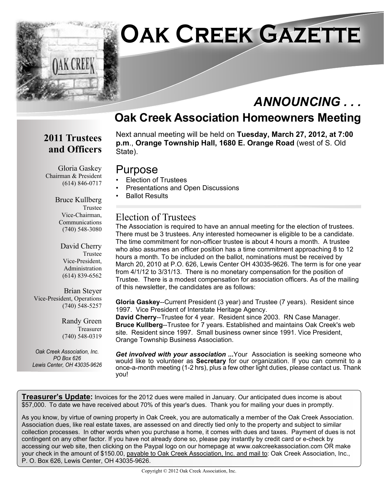

## *ANNOUNCING . . .*

## **Oak Creek Association Homeowners Meeting**

## **2011 Trustees and Officers**

Next annual meeting will be held on **Tuesday, March 27, 2012, at 7:00 p.m**., **Orange Township Hall, 1680 E. Orange Road** (west of S. Old State).

### Purpose

- Election of Trustees
- Presentations and Open Discussions
- Ballot Results

#### Election of Trustees

The Association is required to have an annual meeting for the election of trustees. There must be 3 trustees. Any interested homeowner is eligible to be a candidate. The time commitment for non-officer trustee is about 4 hours a month. A trustee who also assumes an officer position has a time commitment approaching 8 to 12 hours a month. To be included on the ballot, nominations must be received by March 20, 2010 at P.O. 626, Lewis Center OH 43035-9626. The term is for one year from 4/1/12 to 3/31/13. There is no monetary compensation for the position of Trustee. There is a modest compensation for association officers. As of the mailing of this newsletter, the candidates are as follows:

**Gloria Gaskey**--Current President (3 year) and Trustee (7 years). Resident since 1997. Vice President of Interstate Heritage Agency.

**David Cherry**--Trustee for 4 year. Resident since 2003. RN Case Manager. **Bruce Kullberg**--Trustee for 7 years. Established and maintains Oak Creek's web site. Resident since 1997. Small business owner since 1991. Vice President, Orange Township Business Association.

*Get involved with your association ...*Your Association is seeking someone who would like to volunteer as **Secretary** for our organization. If you can commit to a once-a-month meeting (1-2 hrs), plus a few other light duties, please contact us. Thank you!

**Treasurer's Update:** Invoices for the 2012 dues were mailed in January. Our anticipated dues income is about \$57,000. To date we have received about 70% of this year's dues. Thank you for mailing your dues in promptly.

As you know, by virtue of owning property in Oak Creek, you are automatically a member of the Oak Creek Association. Association dues, like real estate taxes, are assessed on and directly tied only to the property and subject to similar collection processes. In other words when you purchase a home, it comes with dues and taxes. Payment of dues is not contingent on any other factor. If you have not already done so, please pay instantly by credit card or e-check by accessing our web site, then clicking on the Paypal logo on our homepage at www.oakcreekassociation.com OR make your check in the amount of \$150.00, payable to Oak Creek Association, Inc. and mail to: Oak Creek Association, Inc., P. O. Box 626, Lewis Center, OH 43035-9626.

Gloria Gaskey Chairman & President (614) 846-0717

> Bruce Kullberg Trustee Vice-Chairman, Communications (740) 548-3080

> > David Cherry Trustee Vice-President, Administration (614) 839-6562

Brian Steyer Vice-President, Operations (740) 548-5257

> Randy Green Treasurer (740) 548-0319

*Oak Creek Association, Inc. PO Box 626 Lewis Center, OH 43035-9626*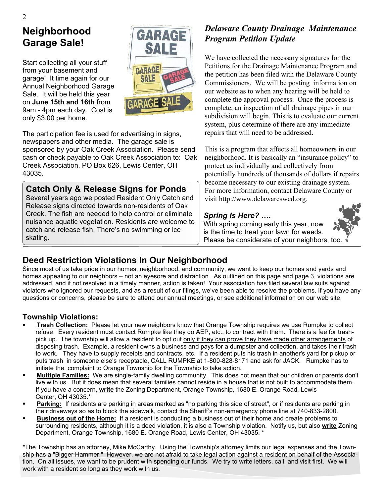## **Neighborhood Garage Sale!**

Start collecting all your stuff from your basement and garage! It time again for our Annual Neighborhood Garage Sale. It will be held this year on **June 15th and 16th** from 9am - 4pm each day. Cost is only \$3.00 per home.



The participation fee is used for advertising in signs, newspapers and other media. The garage sale is sponsored by your Oak Creek Association. Please send cash or check payable to Oak Creek Association to: Oak Creek Association, PO Box 626, Lewis Center, OH 43035.

#### **Catch Only & Release Signs for Ponds**

Several years ago we posted Resident Only Catch and Release signs directed towards non-residents of Oak Creek. The fish are needed to help control or eliminate nuisance aquatic vegetation. Residents are welcome to catch and release fish. There's no swimming or ice skating.

#### *Delaware County Drainage Maintenance Program Petition Update*

We have collected the necessary signatures for the Petitions for the Drainage Maintenance Program and the petition has been filed with the Delaware County Commissioners. We will be posting information on our website as to when any hearing will be held to complete the approval process. Once the process is complete, an inspection of all drainage pipes in our subdivision will begin. This is to evaluate our current system, plus determine of there are any immediate repairs that will need to be addressed.

This is a program that affects all homeowners in our neighborhood. It is basically an "insurance policy" to protect us individually and collectively from potentially hundreds of thousands of dollars if repairs become necessary to our existing drainage system. For more information, contact Delaware County or visit http://www.delawareswcd.org.

#### *Spring Is Here? ….*

With spring coming early this year, now is the time to treat your lawn for weeds. Please be considerate of your neighbors, too.

## **Deed Restriction Violations In Our Neighborhood**

Since most of us take pride in our homes, neighborhood, and community, we want to keep our homes and yards and homes appealing to our neighbors – not an eyesore and distraction. As outlined on this page and page 3, violations are addressed, and if not resolved in a timely manner, action is taken! Your association has filed several law suits against violators who ignored our requests, and as a result of our filings, we've been able to resolve the problems. If you have any questions or concerns, please be sure to attend our annual meetings, or see additional information on our web site.

#### **Township Violations:**

- ß **Trash Collection:** Please let your new neighbors know that Orange Township requires we use Rumpke to collect refuse. Every resident must contact Rumpke like they do AEP, etc., to contract with them. There is a fee for trash pick up. The township will allow a resident to opt out only if they can prove they have made other arrangements of disposing trash. Example, a resident owns a business and pays for a dumpster and collection, and takes their trash to work. They have to supply receipts and contracts, etc. If a resident puts his trash in another's yard for pickup or puts trash in someone else's receptacle, CALL RUMPKE at 1-800-828-8171 and ask for JACK. Rumpke has to initiate the complaint to Orange Township for the Township to take action.
- **Multiple Families:** We are single-family dwelling community. This does not mean that our children or parents don't live with us. But it does mean that several families cannot reside in a house that is not built to accommodate them. If you have a concern, **write** the Zoning Department, Orange Township, 1680 E. Orange Road, Lewis Center, OH 43035.\*
- ß **Parking:** If residents are parking in areas marked as "no parking this side of street", or if residents are parking in their driveways so as to block the sidewalk, contact the Sheriff's non-emergency phone line at 740-833-2800.
- ß **Business out of the Home:** If a resident is conducting a business out of their home and create problems to surrounding residents, although it is a deed violation, it is also a Township violation. Notify us, but also **write** Zoning Department, Orange Township, 1680 E. Orange Road, Lewis Center, OH 43035. \*

\*The Township has an attorney, Mike McCarthy. Using the Township's attorney limits our legal expenses and the Township has a "Bigger Hammer." However, we are not afraid to take legal action against a resident on behalf of the Association. On all issues, we want to be prudent with spending our funds. We try to write letters, call, and visit first. We will work with a resident so long as they work with us.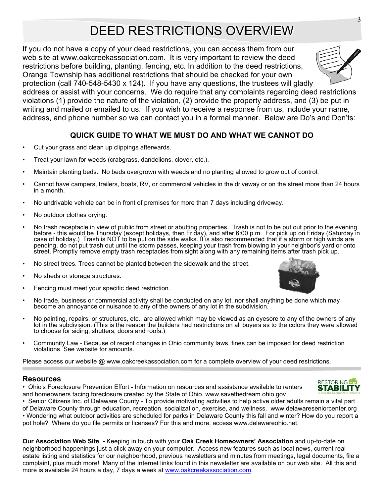# DEED RESTRICTIONS OVERVIEW

If you do not have a copy of your deed restrictions, you can access them from our web site at www.oakcreekassociation.com. It is very important to review the deed restrictions before building, planting, fencing, etc. In addition to the deed restrictions, Orange Township has additional restrictions that should be checked for your own

protection (call 740-548-5430 x 124). If you have any questions, the trustees will gladly address or assist with your concerns. We do require that any complaints regarding deed restrictions violations (1) provide the nature of the violation, (2) provide the property address, and (3) be put in writing and mailed or emailed to us. If you wish to receive a response from us, include your name, address, and phone number so we can contact you in a formal manner. Below are Do's and Don'ts:

#### **QUICK GUIDE TO WHAT WE MUST DO AND WHAT WE CANNOT DO**

- Cut your grass and clean up clippings afterwards.
- Treat your lawn for weeds (crabgrass, dandelions, clover, etc.).
- Maintain planting beds. No beds overgrown with weeds and no planting allowed to grow out of control.
- Cannot have campers, trailers, boats, RV, or commercial vehicles in the driveway or on the street more than 24 hours in a month.
- No undrivable vehicle can be in front of premises for more than 7 days including driveway.
- No outdoor clothes drying.
- No trash receptacle in view of public from street or abutting properties. Trash is not to be put out prior to the evening before - this would be Thursday (except holidays, then Friday), and after 6:00 p.m. For pick up on Friday (Saturday in case of holiday.) Trash is NOT to be put on the side walks. It is also recommended that if a storm or high winds are pending, do not put trash out until the storm passes, keeping your trash from blowing in your neighbor's yard or onto street. Promptly remove empty trash receptacles from sight along with any remaining items after trash pick up.
- No street trees. Trees cannot be planted between the sidewalk and the street.
- No sheds or storage structures.
- Fencing must meet your specific deed restriction.
- No trade, business or commercial activity shall be conducted on any lot, nor shall anything be done which may become an annoyance or nuisance to any of the owners of any lot in the subdivision.
- No painting, repairs, or structures, etc., are allowed which may be viewed as an eyesore to any of the owners of any lot in the subdivision. (This is the reason the builders had restrictions on all buyers as to the colors they were allowed to choose for siding, shutters, doors and roofs.)
- Community Law Because of recent changes in Ohio community laws, fines can be imposed for deed restriction violations. See website for amounts.

Please access our website @ www.oakcreekassociation.com for a complete overview of your deed restrictions.

#### **Resources**

• Ohio's Foreclosure Prevention Effort - Information on resources and assistance available to renters and homeowners facing foreclosure created by the State of Ohio. www.savethedream.ohio.gov

• Senior Citizens Inc. of Delaware County - To provide motivating activities to help active older adults remain a vital part of Delaware County through education, recreation, socialization, exercise, and wellness. www.delawareseniorcenter.org • Wondering what outdoor activities are scheduled for parks in Delaware County this fall and winter? How do you report a pot hole? Where do you file permits or licenses? For this and more, access www.delawareohio.net.

**Our Association Web Site** *-* Keeping in touch with your **Oak Creek Homeowners' Association** and up-to-date on neighborhood happenings just a click away on your computer. Access new features such as local news, current real estate listing and statistics for our neighborhood, previous newsletters and minutes from meetings, legal documents, file a complaint, plus much more! Many of the Internet links found in this newsletter are available on our web site. All this and more is available 24 hours a day, 7 days a week at www.oakcreekassociation.com.